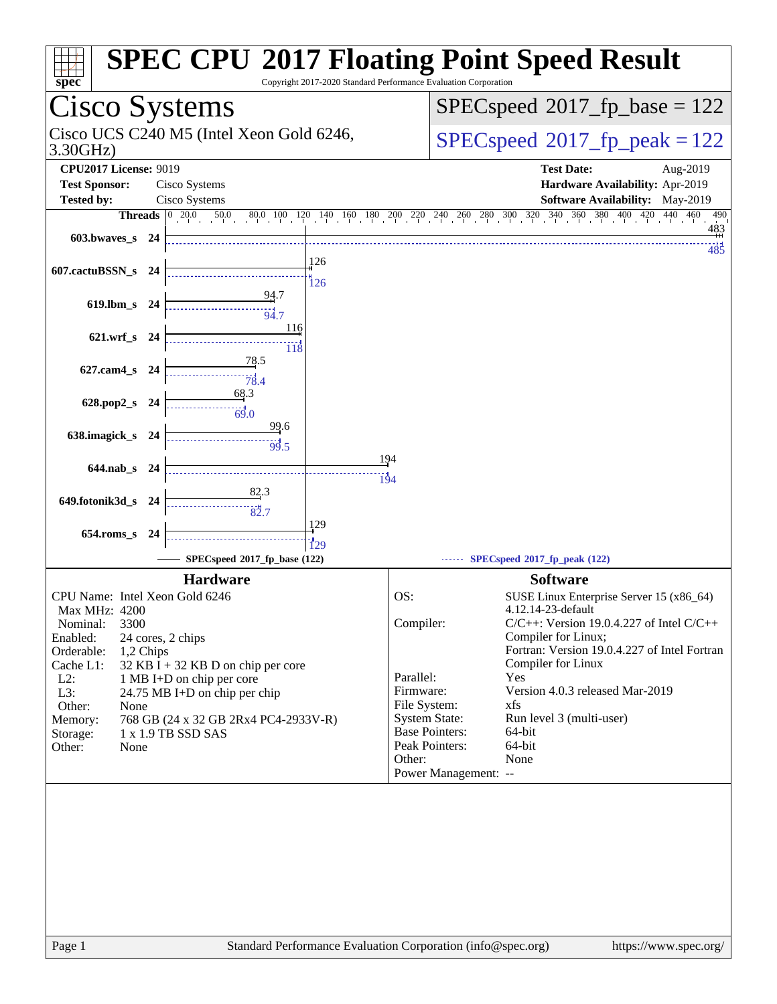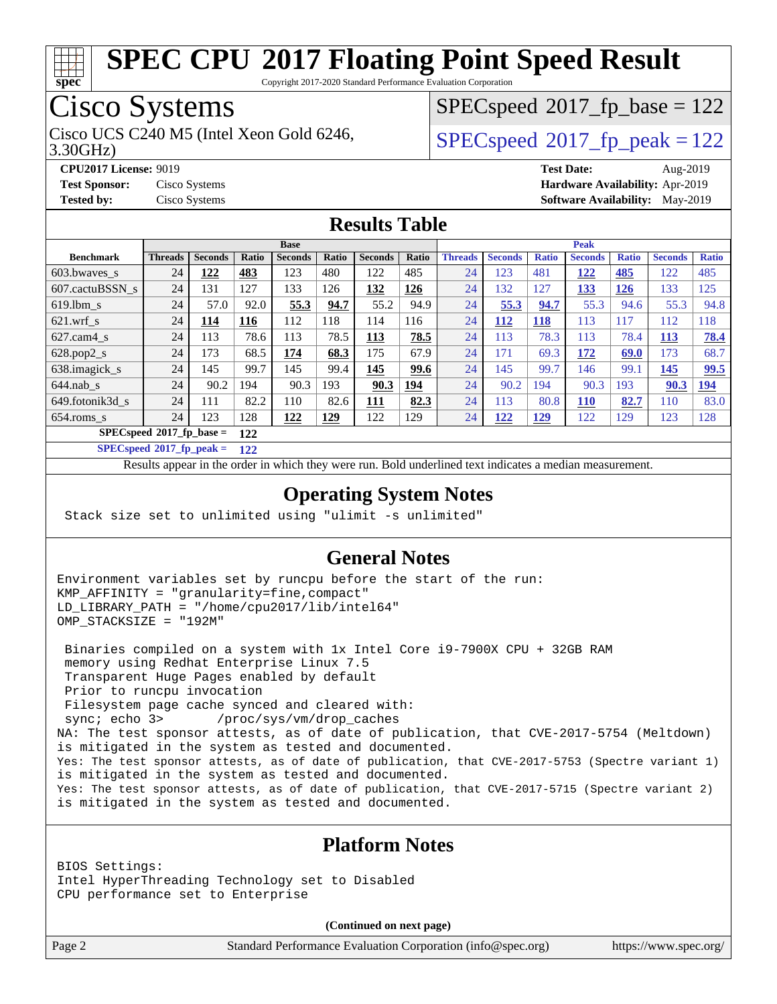

Copyright 2017-2020 Standard Performance Evaluation Corporation

# Cisco Systems

3.30GHz) Cisco UCS C240 M5 (Intel Xeon Gold 6246,  $SPEC speed@2017$  fp\_peak = 122

 $SPEC speed^{\circ}2017\_fp\_base = 122$ 

**[CPU2017 License:](http://www.spec.org/auto/cpu2017/Docs/result-fields.html#CPU2017License)** 9019 **[Test Date:](http://www.spec.org/auto/cpu2017/Docs/result-fields.html#TestDate)** Aug-2019 **[Test Sponsor:](http://www.spec.org/auto/cpu2017/Docs/result-fields.html#TestSponsor)** Cisco Systems **[Hardware Availability:](http://www.spec.org/auto/cpu2017/Docs/result-fields.html#HardwareAvailability)** Apr-2019 **[Tested by:](http://www.spec.org/auto/cpu2017/Docs/result-fields.html#Testedby)** Cisco Systems **[Software Availability:](http://www.spec.org/auto/cpu2017/Docs/result-fields.html#SoftwareAvailability)** May-2019

### **[Results Table](http://www.spec.org/auto/cpu2017/Docs/result-fields.html#ResultsTable)**

|                                   | <b>Base</b>    |                |            |                |            |                | <b>Peak</b> |                |                |              |                |              |                |              |
|-----------------------------------|----------------|----------------|------------|----------------|------------|----------------|-------------|----------------|----------------|--------------|----------------|--------------|----------------|--------------|
| <b>Benchmark</b>                  | <b>Threads</b> | <b>Seconds</b> | Ratio      | <b>Seconds</b> | Ratio      | <b>Seconds</b> | Ratio       | <b>Threads</b> | <b>Seconds</b> | <b>Ratio</b> | <b>Seconds</b> | <b>Ratio</b> | <b>Seconds</b> | <b>Ratio</b> |
| 603.bwayes s                      | 24             | 122            | 483        | 123            | 480        | 122            | 485         | 24             | 123            | 481          | 122            | 485          | 122            | 485          |
| 607.cactuBSSN s                   | 24             | 131            | 127        | 133            | 126        | <u>132</u>     | <u>126</u>  | 24             | 132            | 127          | <u>133</u>     | <u>126</u>   | 133            | 125          |
| $619.1$ bm s                      | 24             | 57.0           | 92.0       | 55.3           | 94.7       | 55.2           | 94.9        | 24             | 55.3           | 94.7         | 55.3           | 94.6         | 55.3           | 94.8         |
| $621$ .wrf s                      | 24             | 114            | <b>116</b> | 112            | 118        | 114            | 116         | 24             | <b>112</b>     | <b>118</b>   | 113            | 117          | 112            | 118          |
| $627$ .cam $4 \text{ s}$          | 24             | 113            | 78.6       | 113            | 78.5       | <u>113</u>     | 78.5        | 24             | 113            | 78.3         | 113            | 78.4         | <b>113</b>     | 78.4         |
| $628.pop2_s$                      | 24             | 173            | 68.5       | 174            | 68.3       | 175            | 67.9        | 24             | 171            | 69.3         | 172            | 69.0         | 173            | 68.7         |
| 638.imagick_s                     | 24             | 145            | 99.7       | 145            | 99.4       | 145            | 99.6        | 24             | 145            | 99.7         | 146            | 99.1         | 145            | 99.5         |
| $644$ .nab s                      | 24             | 90.2           | 194        | 90.3           | 193        | 90.3           | 194         | 24             | 90.2           | 194          | 90.3           | 193          | 90.3           | <b>194</b>   |
| 649.fotonik3d s                   | 24             | 111            | 82.2       | 110            | 82.6       | 111            | 82.3        | 24             | 113            | 80.8         | <u>110</u>     | 82.7         | 110            | 83.0         |
| $654$ .roms s                     | 24             | 123            | 128        | <u>122</u>     | <u>129</u> | 122            | 129         | 24             | <u> 122</u>    | <u>129</u>   | 122            | 129          | 123            | 128          |
| $SPECspeed*2017$ fp base =<br>122 |                |                |            |                |            |                |             |                |                |              |                |              |                |              |

**[SPECspeed](http://www.spec.org/auto/cpu2017/Docs/result-fields.html#SPECspeed2017fppeak)[2017\\_fp\\_peak =](http://www.spec.org/auto/cpu2017/Docs/result-fields.html#SPECspeed2017fppeak) 122**

Results appear in the [order in which they were run.](http://www.spec.org/auto/cpu2017/Docs/result-fields.html#RunOrder) Bold underlined text [indicates a median measurement](http://www.spec.org/auto/cpu2017/Docs/result-fields.html#Median).

### **[Operating System Notes](http://www.spec.org/auto/cpu2017/Docs/result-fields.html#OperatingSystemNotes)**

Stack size set to unlimited using "ulimit -s unlimited"

### **[General Notes](http://www.spec.org/auto/cpu2017/Docs/result-fields.html#GeneralNotes)**

Environment variables set by runcpu before the start of the run: KMP\_AFFINITY = "granularity=fine,compact" LD\_LIBRARY\_PATH = "/home/cpu2017/lib/intel64" OMP\_STACKSIZE = "192M"

 Binaries compiled on a system with 1x Intel Core i9-7900X CPU + 32GB RAM memory using Redhat Enterprise Linux 7.5 Transparent Huge Pages enabled by default Prior to runcpu invocation Filesystem page cache synced and cleared with: sync; echo 3> /proc/sys/vm/drop\_caches NA: The test sponsor attests, as of date of publication, that CVE-2017-5754 (Meltdown) is mitigated in the system as tested and documented. Yes: The test sponsor attests, as of date of publication, that CVE-2017-5753 (Spectre variant 1) is mitigated in the system as tested and documented. Yes: The test sponsor attests, as of date of publication, that CVE-2017-5715 (Spectre variant 2) is mitigated in the system as tested and documented.

#### **[Platform Notes](http://www.spec.org/auto/cpu2017/Docs/result-fields.html#PlatformNotes)**

BIOS Settings: Intel HyperThreading Technology set to Disabled CPU performance set to Enterprise

**(Continued on next page)**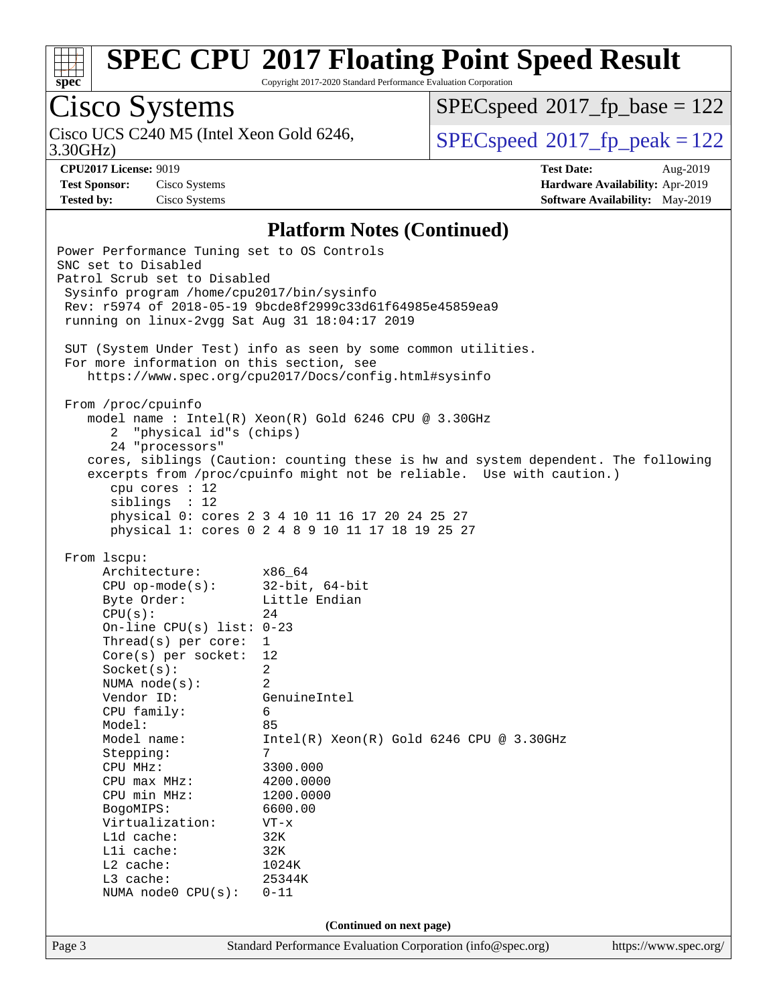

Copyright 2017-2020 Standard Performance Evaluation Corporation

# Cisco Systems

3.30GHz) Cisco UCS C240 M5 (Intel Xeon Gold 6246,  $SPEC speed@2017$  fp\_peak = 122

[SPECspeed](http://www.spec.org/auto/cpu2017/Docs/result-fields.html#SPECspeed2017fpbase)<sup>®</sup>2017 fp base = 122

**[Test Sponsor:](http://www.spec.org/auto/cpu2017/Docs/result-fields.html#TestSponsor)** Cisco Systems **[Hardware Availability:](http://www.spec.org/auto/cpu2017/Docs/result-fields.html#HardwareAvailability)** Apr-2019

**[CPU2017 License:](http://www.spec.org/auto/cpu2017/Docs/result-fields.html#CPU2017License)** 9019 **[Test Date:](http://www.spec.org/auto/cpu2017/Docs/result-fields.html#TestDate)** Aug-2019 **[Tested by:](http://www.spec.org/auto/cpu2017/Docs/result-fields.html#Testedby)** Cisco Systems **[Software Availability:](http://www.spec.org/auto/cpu2017/Docs/result-fields.html#SoftwareAvailability)** May-2019

#### **[Platform Notes \(Continued\)](http://www.spec.org/auto/cpu2017/Docs/result-fields.html#PlatformNotes)**

Page 3 Standard Performance Evaluation Corporation [\(info@spec.org\)](mailto:info@spec.org) <https://www.spec.org/> Power Performance Tuning set to OS Controls SNC set to Disabled Patrol Scrub set to Disabled Sysinfo program /home/cpu2017/bin/sysinfo Rev: r5974 of 2018-05-19 9bcde8f2999c33d61f64985e45859ea9 running on linux-2vgg Sat Aug 31 18:04:17 2019 SUT (System Under Test) info as seen by some common utilities. For more information on this section, see <https://www.spec.org/cpu2017/Docs/config.html#sysinfo> From /proc/cpuinfo model name : Intel(R) Xeon(R) Gold 6246 CPU @ 3.30GHz 2 "physical id"s (chips) 24 "processors" cores, siblings (Caution: counting these is hw and system dependent. The following excerpts from /proc/cpuinfo might not be reliable. Use with caution.) cpu cores : 12 siblings : 12 physical 0: cores 2 3 4 10 11 16 17 20 24 25 27 physical 1: cores 0 2 4 8 9 10 11 17 18 19 25 27 From lscpu: Architecture: x86\_64 CPU op-mode(s): 32-bit, 64-bit Byte Order: Little Endian  $CPU(s):$  24 On-line CPU(s) list: 0-23 Thread(s) per core: 1 Core(s) per socket: 12 Socket(s): 2 NUMA node(s): 2 Vendor ID: GenuineIntel CPU family: 6 Model: 85 Model name: Intel(R) Xeon(R) Gold 6246 CPU @ 3.30GHz Stepping: 7 CPU MHz: 3300.000 CPU max MHz: 4200.0000 CPU min MHz: 1200.0000 BogoMIPS: 6600.00 Virtualization: VT-x L1d cache: 32K L1i cache: 32K L2 cache: 1024K L3 cache: 25344K NUMA node0 CPU(s): 0-11 **(Continued on next page)**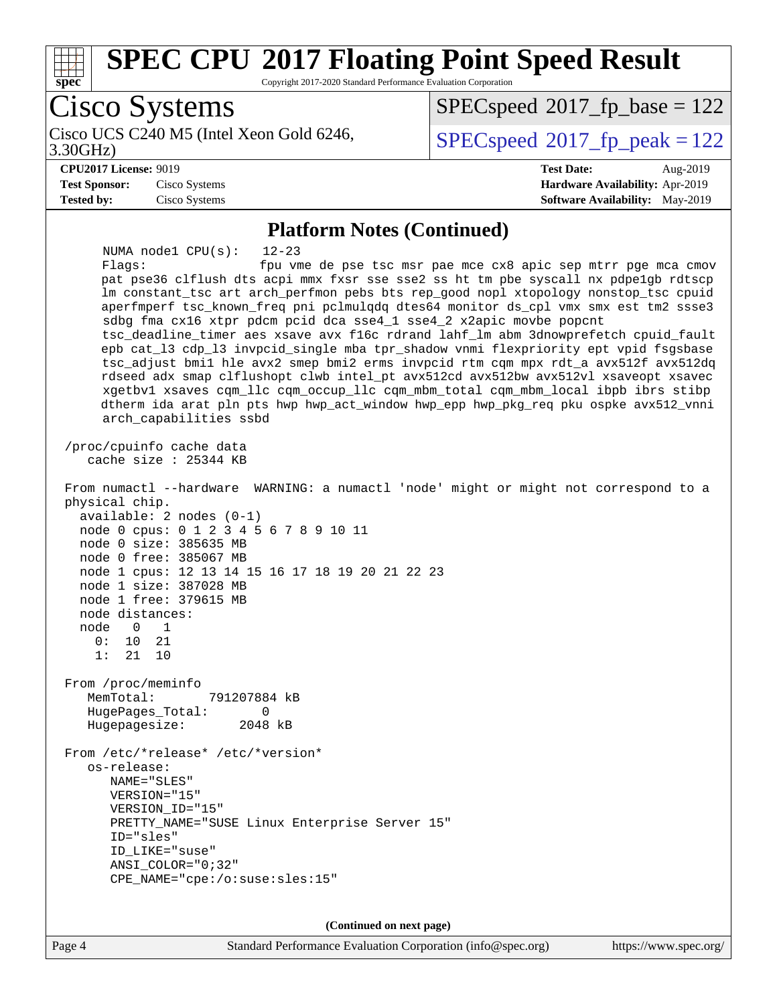

Copyright 2017-2020 Standard Performance Evaluation Corporation

Cisco Systems Cisco UCS C240 M5 (Intel Xeon Gold 6246, 3.30GHz) [SPECspeed](http://www.spec.org/auto/cpu2017/Docs/result-fields.html#SPECspeed2017fppeak)<sup>®</sup>2017 fp peak = 122 [SPECspeed](http://www.spec.org/auto/cpu2017/Docs/result-fields.html#SPECspeed2017fpbase)<sup>®</sup>2017 fp base = 122 **[CPU2017 License:](http://www.spec.org/auto/cpu2017/Docs/result-fields.html#CPU2017License)** 9019 **[Test Date:](http://www.spec.org/auto/cpu2017/Docs/result-fields.html#TestDate)** Aug-2019 **[Test Sponsor:](http://www.spec.org/auto/cpu2017/Docs/result-fields.html#TestSponsor)** Cisco Systems **[Hardware Availability:](http://www.spec.org/auto/cpu2017/Docs/result-fields.html#HardwareAvailability)** Apr-2019 **[Tested by:](http://www.spec.org/auto/cpu2017/Docs/result-fields.html#Testedby)** Cisco Systems **[Software Availability:](http://www.spec.org/auto/cpu2017/Docs/result-fields.html#SoftwareAvailability)** May-2019 **[Platform Notes \(Continued\)](http://www.spec.org/auto/cpu2017/Docs/result-fields.html#PlatformNotes)** NUMA node1 CPU(s): 12-23 Flags: fpu vme de pse tsc msr pae mce cx8 apic sep mtrr pge mca cmov pat pse36 clflush dts acpi mmx fxsr sse sse2 ss ht tm pbe syscall nx pdpe1gb rdtscp lm constant\_tsc art arch\_perfmon pebs bts rep\_good nopl xtopology nonstop\_tsc cpuid aperfmperf tsc\_known\_freq pni pclmulqdq dtes64 monitor ds\_cpl vmx smx est tm2 ssse3 sdbg fma cx16 xtpr pdcm pcid dca sse4\_1 sse4\_2 x2apic movbe popcnt tsc\_deadline\_timer aes xsave avx f16c rdrand lahf\_lm abm 3dnowprefetch cpuid\_fault epb cat\_l3 cdp\_l3 invpcid\_single mba tpr\_shadow vnmi flexpriority ept vpid fsgsbase tsc\_adjust bmi1 hle avx2 smep bmi2 erms invpcid rtm cqm mpx rdt\_a avx512f avx512dq rdseed adx smap clflushopt clwb intel\_pt avx512cd avx512bw avx512vl xsaveopt xsavec xgetbv1 xsaves cqm\_llc cqm\_occup\_llc cqm\_mbm\_total cqm\_mbm\_local ibpb ibrs stibp dtherm ida arat pln pts hwp hwp\_act\_window hwp\_epp hwp\_pkg\_req pku ospke avx512\_vnni arch\_capabilities ssbd /proc/cpuinfo cache data cache size : 25344 KB From numactl --hardware WARNING: a numactl 'node' might or might not correspond to a physical chip. available: 2 nodes (0-1) node 0 cpus: 0 1 2 3 4 5 6 7 8 9 10 11 node 0 size: 385635 MB node 0 free: 385067 MB node 1 cpus: 12 13 14 15 16 17 18 19 20 21 22 23 node 1 size: 387028 MB node 1 free: 379615 MB node distances: node 0 1 0: 10 21 1: 21 10 From /proc/meminfo MemTotal: 791207884 kB HugePages\_Total: 0 Hugepagesize: 2048 kB From /etc/\*release\* /etc/\*version\* os-release: NAME="SLES" VERSION="15" VERSION\_ID="15" PRETTY NAME="SUSE Linux Enterprise Server 15" ID="sles" ID\_LIKE="suse" ANSI\_COLOR="0;32" CPE\_NAME="cpe:/o:suse:sles:15"

**(Continued on next page)**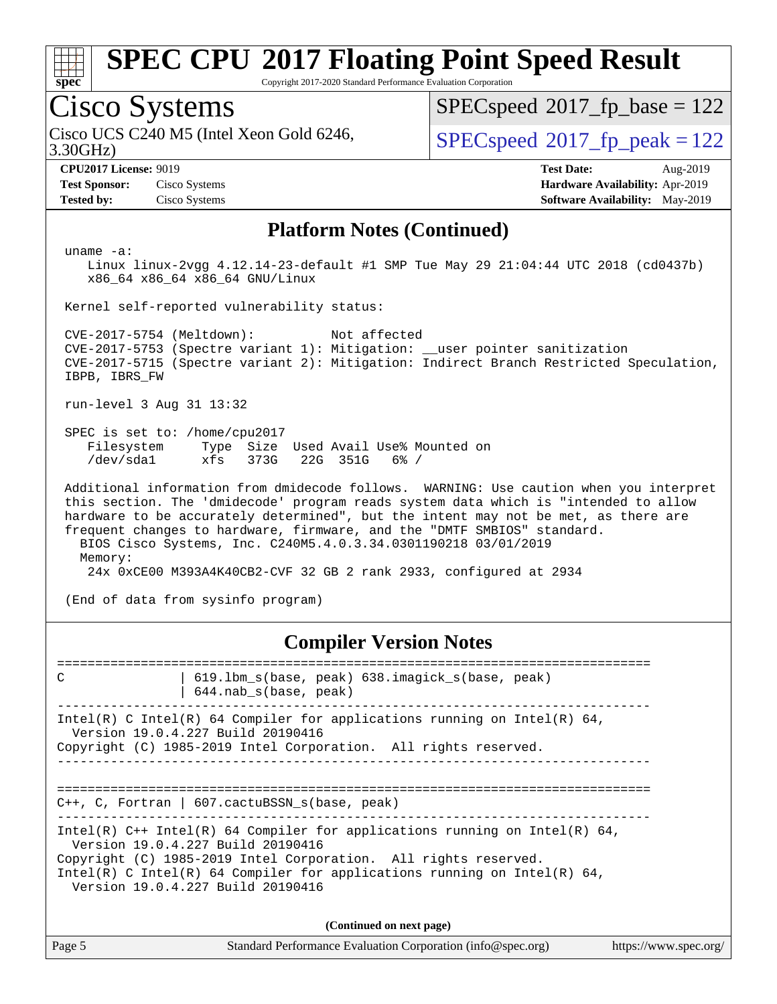

Copyright 2017-2020 Standard Performance Evaluation Corporation

### Cisco Systems

3.30GHz) Cisco UCS C240 M5 (Intel Xeon Gold 6246,  $SPEC speed@2017$  fp\_peak = 122

[SPECspeed](http://www.spec.org/auto/cpu2017/Docs/result-fields.html#SPECspeed2017fpbase)<sup>®</sup>2017 fp base = 122

**[Test Sponsor:](http://www.spec.org/auto/cpu2017/Docs/result-fields.html#TestSponsor)** Cisco Systems **[Hardware Availability:](http://www.spec.org/auto/cpu2017/Docs/result-fields.html#HardwareAvailability)** Apr-2019

**[CPU2017 License:](http://www.spec.org/auto/cpu2017/Docs/result-fields.html#CPU2017License)** 9019 **[Test Date:](http://www.spec.org/auto/cpu2017/Docs/result-fields.html#TestDate)** Aug-2019 **[Tested by:](http://www.spec.org/auto/cpu2017/Docs/result-fields.html#Testedby)** Cisco Systems **[Software Availability:](http://www.spec.org/auto/cpu2017/Docs/result-fields.html#SoftwareAvailability)** May-2019

#### **[Platform Notes \(Continued\)](http://www.spec.org/auto/cpu2017/Docs/result-fields.html#PlatformNotes)**

uname -a:

 Linux linux-2vgg 4.12.14-23-default #1 SMP Tue May 29 21:04:44 UTC 2018 (cd0437b) x86\_64 x86\_64 x86\_64 GNU/Linux

Kernel self-reported vulnerability status:

 CVE-2017-5754 (Meltdown): Not affected CVE-2017-5753 (Spectre variant 1): Mitigation: \_\_user pointer sanitization CVE-2017-5715 (Spectre variant 2): Mitigation: Indirect Branch Restricted Speculation, IBPB, IBRS\_FW

run-level 3 Aug 31 13:32

 SPEC is set to: /home/cpu2017 Filesystem Type Size Used Avail Use% Mounted on /dev/sda1 xfs 373G 22G 351G 6% /

 Additional information from dmidecode follows. WARNING: Use caution when you interpret this section. The 'dmidecode' program reads system data which is "intended to allow hardware to be accurately determined", but the intent may not be met, as there are frequent changes to hardware, firmware, and the "DMTF SMBIOS" standard. BIOS Cisco Systems, Inc. C240M5.4.0.3.34.0301190218 03/01/2019 Memory: 24x 0xCE00 M393A4K40CB2-CVF 32 GB 2 rank 2933, configured at 2934

(End of data from sysinfo program)

#### **[Compiler Version Notes](http://www.spec.org/auto/cpu2017/Docs/result-fields.html#CompilerVersionNotes)**

============================================================================== C | 619.lbm\_s(base, peak) 638.imagick\_s(base, peak) | 644.nab\_s(base, peak) ------------------------------------------------------------------------------ Intel(R) C Intel(R) 64 Compiler for applications running on Intel(R)  $64$ , Version 19.0.4.227 Build 20190416 Copyright (C) 1985-2019 Intel Corporation. All rights reserved. ------------------------------------------------------------------------------ ============================================================================== C++, C, Fortran | 607.cactuBSSN\_s(base, peak) ------------------------------------------------------------------------------ Intel(R) C++ Intel(R) 64 Compiler for applications running on Intel(R)  $64$ , Version 19.0.4.227 Build 20190416 Copyright (C) 1985-2019 Intel Corporation. All rights reserved. Intel(R) C Intel(R) 64 Compiler for applications running on Intel(R)  $64$ , Version 19.0.4.227 Build 20190416 **(Continued on next page)**

| Page 5 | Standard Performance Evaluation Corporation (info@spec.org) | https://www.spec.org/ |
|--------|-------------------------------------------------------------|-----------------------|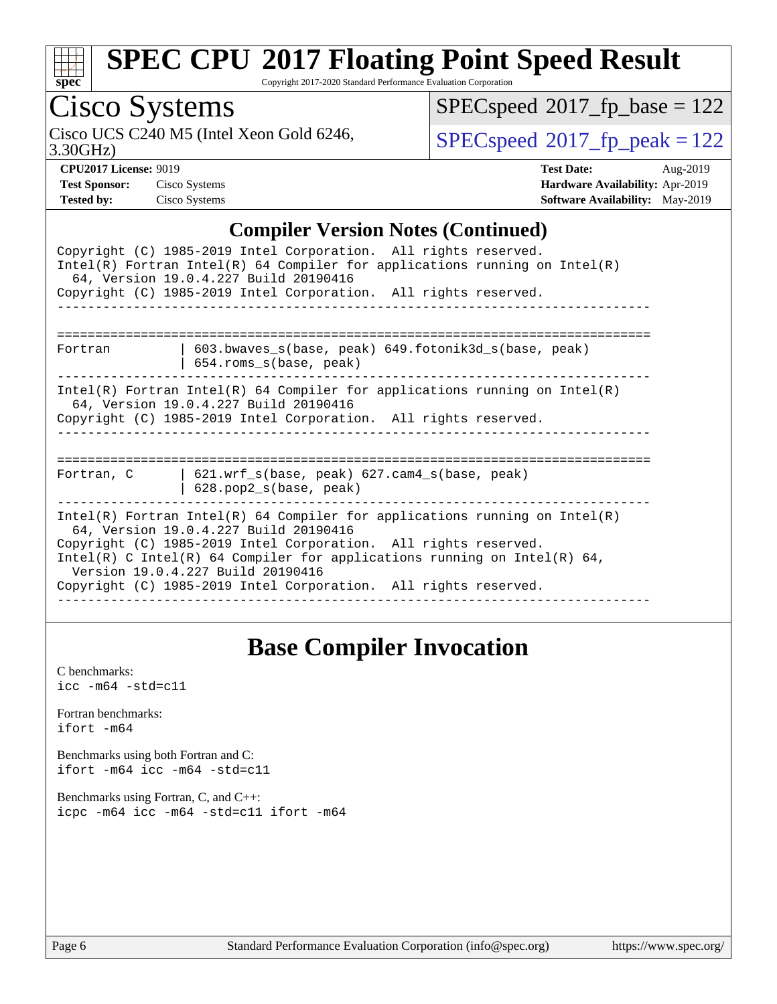

Copyright 2017-2020 Standard Performance Evaluation Corporation

## Cisco Systems

3.30GHz) Cisco UCS C240 M5 (Intel Xeon Gold 6246,  $SPECspeed^{\circ}2017\_fp\_peak = 122$  $SPECspeed^{\circ}2017\_fp\_peak = 122$ 

 $SPECspeed^{\circledcirc}2017_fp\_base = 122$  $SPECspeed^{\circledcirc}2017_fp\_base = 122$ 

**[CPU2017 License:](http://www.spec.org/auto/cpu2017/Docs/result-fields.html#CPU2017License)** 9019 **[Test Date:](http://www.spec.org/auto/cpu2017/Docs/result-fields.html#TestDate)** Aug-2019 **[Test Sponsor:](http://www.spec.org/auto/cpu2017/Docs/result-fields.html#TestSponsor)** Cisco Systems **[Hardware Availability:](http://www.spec.org/auto/cpu2017/Docs/result-fields.html#HardwareAvailability)** Apr-2019 **[Tested by:](http://www.spec.org/auto/cpu2017/Docs/result-fields.html#Testedby)** Cisco Systems **[Software Availability:](http://www.spec.org/auto/cpu2017/Docs/result-fields.html#SoftwareAvailability)** May-2019

#### **[Compiler Version Notes \(Continued\)](http://www.spec.org/auto/cpu2017/Docs/result-fields.html#CompilerVersionNotes)**

| Complict version rotes (Commuca)                                                                                                                                                                                                                                                                                                                                           |
|----------------------------------------------------------------------------------------------------------------------------------------------------------------------------------------------------------------------------------------------------------------------------------------------------------------------------------------------------------------------------|
| Copyright (C) 1985-2019 Intel Corporation. All rights reserved.<br>Intel(R) Fortran Intel(R) 64 Compiler for applications running on Intel(R)<br>64, Version 19.0.4.227 Build 20190416                                                                                                                                                                                     |
| Copyright (C) 1985-2019 Intel Corporation. All rights reserved.                                                                                                                                                                                                                                                                                                            |
|                                                                                                                                                                                                                                                                                                                                                                            |
| 603.bwaves_s(base, peak) 649.fotonik3d_s(base, peak)<br>Fortran<br>$654$ .roms $s(base, peak)$                                                                                                                                                                                                                                                                             |
| Intel(R) Fortran Intel(R) 64 Compiler for applications running on Intel(R)<br>64, Version 19.0.4.227 Build 20190416<br>Copyright (C) 1985-2019 Intel Corporation. All rights reserved.                                                                                                                                                                                     |
| $621.$ wrf $s(base, peak)$ $627.$ cam4 $s(base, peak)$<br>Fortran, C<br>$628.$ pop2_s(base, peak)                                                                                                                                                                                                                                                                          |
| Intel(R) Fortran Intel(R) 64 Compiler for applications running on Intel(R)<br>64, Version 19.0.4.227 Build 20190416<br>Copyright (C) 1985-2019 Intel Corporation. All rights reserved.<br>Intel(R) C Intel(R) 64 Compiler for applications running on Intel(R) 64,<br>Version 19.0.4.227 Build 20190416<br>Copyright (C) 1985-2019 Intel Corporation. All rights reserved. |

### **[Base Compiler Invocation](http://www.spec.org/auto/cpu2017/Docs/result-fields.html#BaseCompilerInvocation)**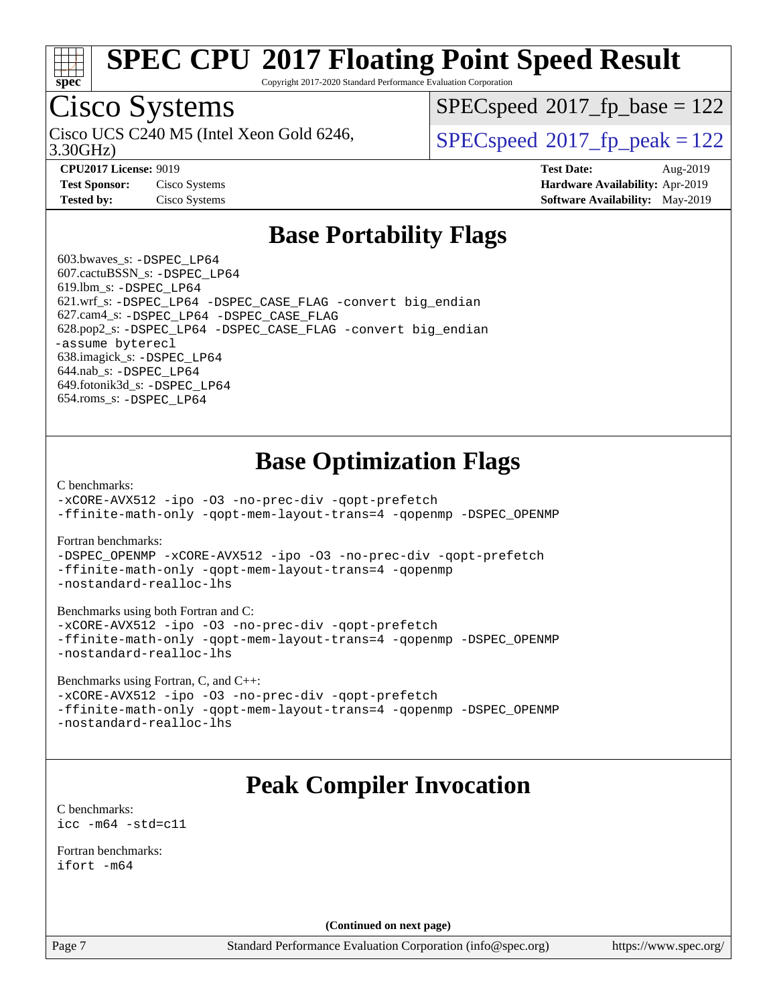

Copyright 2017-2020 Standard Performance Evaluation Corporation

## Cisco Systems

3.30GHz) Cisco UCS C240 M5 (Intel Xeon Gold 6246,  $SPEC speed@2017$  fp\_peak = 122

[SPECspeed](http://www.spec.org/auto/cpu2017/Docs/result-fields.html#SPECspeed2017fpbase)<sup>®</sup>2017 fp base = 122

**[Test Sponsor:](http://www.spec.org/auto/cpu2017/Docs/result-fields.html#TestSponsor)** Cisco Systems **[Hardware Availability:](http://www.spec.org/auto/cpu2017/Docs/result-fields.html#HardwareAvailability)** Apr-2019

**[CPU2017 License:](http://www.spec.org/auto/cpu2017/Docs/result-fields.html#CPU2017License)** 9019 **[Test Date:](http://www.spec.org/auto/cpu2017/Docs/result-fields.html#TestDate)** Aug-2019 **[Tested by:](http://www.spec.org/auto/cpu2017/Docs/result-fields.html#Testedby)** Cisco Systems **[Software Availability:](http://www.spec.org/auto/cpu2017/Docs/result-fields.html#SoftwareAvailability)** May-2019

### **[Base Portability Flags](http://www.spec.org/auto/cpu2017/Docs/result-fields.html#BasePortabilityFlags)**

 603.bwaves\_s: [-DSPEC\\_LP64](http://www.spec.org/cpu2017/results/res2019q3/cpu2017-20190903-17789.flags.html#suite_basePORTABILITY603_bwaves_s_DSPEC_LP64) 607.cactuBSSN\_s: [-DSPEC\\_LP64](http://www.spec.org/cpu2017/results/res2019q3/cpu2017-20190903-17789.flags.html#suite_basePORTABILITY607_cactuBSSN_s_DSPEC_LP64) 619.lbm\_s: [-DSPEC\\_LP64](http://www.spec.org/cpu2017/results/res2019q3/cpu2017-20190903-17789.flags.html#suite_basePORTABILITY619_lbm_s_DSPEC_LP64) 621.wrf\_s: [-DSPEC\\_LP64](http://www.spec.org/cpu2017/results/res2019q3/cpu2017-20190903-17789.flags.html#suite_basePORTABILITY621_wrf_s_DSPEC_LP64) [-DSPEC\\_CASE\\_FLAG](http://www.spec.org/cpu2017/results/res2019q3/cpu2017-20190903-17789.flags.html#b621.wrf_s_baseCPORTABILITY_DSPEC_CASE_FLAG) [-convert big\\_endian](http://www.spec.org/cpu2017/results/res2019q3/cpu2017-20190903-17789.flags.html#user_baseFPORTABILITY621_wrf_s_convert_big_endian_c3194028bc08c63ac5d04de18c48ce6d347e4e562e8892b8bdbdc0214820426deb8554edfa529a3fb25a586e65a3d812c835984020483e7e73212c4d31a38223) 627.cam4\_s: [-DSPEC\\_LP64](http://www.spec.org/cpu2017/results/res2019q3/cpu2017-20190903-17789.flags.html#suite_basePORTABILITY627_cam4_s_DSPEC_LP64) [-DSPEC\\_CASE\\_FLAG](http://www.spec.org/cpu2017/results/res2019q3/cpu2017-20190903-17789.flags.html#b627.cam4_s_baseCPORTABILITY_DSPEC_CASE_FLAG) 628.pop2\_s: [-DSPEC\\_LP64](http://www.spec.org/cpu2017/results/res2019q3/cpu2017-20190903-17789.flags.html#suite_basePORTABILITY628_pop2_s_DSPEC_LP64) [-DSPEC\\_CASE\\_FLAG](http://www.spec.org/cpu2017/results/res2019q3/cpu2017-20190903-17789.flags.html#b628.pop2_s_baseCPORTABILITY_DSPEC_CASE_FLAG) [-convert big\\_endian](http://www.spec.org/cpu2017/results/res2019q3/cpu2017-20190903-17789.flags.html#user_baseFPORTABILITY628_pop2_s_convert_big_endian_c3194028bc08c63ac5d04de18c48ce6d347e4e562e8892b8bdbdc0214820426deb8554edfa529a3fb25a586e65a3d812c835984020483e7e73212c4d31a38223) [-assume byterecl](http://www.spec.org/cpu2017/results/res2019q3/cpu2017-20190903-17789.flags.html#user_baseFPORTABILITY628_pop2_s_assume_byterecl_7e47d18b9513cf18525430bbf0f2177aa9bf368bc7a059c09b2c06a34b53bd3447c950d3f8d6c70e3faf3a05c8557d66a5798b567902e8849adc142926523472) 638.imagick\_s: [-DSPEC\\_LP64](http://www.spec.org/cpu2017/results/res2019q3/cpu2017-20190903-17789.flags.html#suite_basePORTABILITY638_imagick_s_DSPEC_LP64) 644.nab\_s: [-DSPEC\\_LP64](http://www.spec.org/cpu2017/results/res2019q3/cpu2017-20190903-17789.flags.html#suite_basePORTABILITY644_nab_s_DSPEC_LP64) 649.fotonik3d\_s: [-DSPEC\\_LP64](http://www.spec.org/cpu2017/results/res2019q3/cpu2017-20190903-17789.flags.html#suite_basePORTABILITY649_fotonik3d_s_DSPEC_LP64) 654.roms\_s: [-DSPEC\\_LP64](http://www.spec.org/cpu2017/results/res2019q3/cpu2017-20190903-17789.flags.html#suite_basePORTABILITY654_roms_s_DSPEC_LP64)

### **[Base Optimization Flags](http://www.spec.org/auto/cpu2017/Docs/result-fields.html#BaseOptimizationFlags)**

[C benchmarks](http://www.spec.org/auto/cpu2017/Docs/result-fields.html#Cbenchmarks):

[-xCORE-AVX512](http://www.spec.org/cpu2017/results/res2019q3/cpu2017-20190903-17789.flags.html#user_CCbase_f-xCORE-AVX512) [-ipo](http://www.spec.org/cpu2017/results/res2019q3/cpu2017-20190903-17789.flags.html#user_CCbase_f-ipo) [-O3](http://www.spec.org/cpu2017/results/res2019q3/cpu2017-20190903-17789.flags.html#user_CCbase_f-O3) [-no-prec-div](http://www.spec.org/cpu2017/results/res2019q3/cpu2017-20190903-17789.flags.html#user_CCbase_f-no-prec-div) [-qopt-prefetch](http://www.spec.org/cpu2017/results/res2019q3/cpu2017-20190903-17789.flags.html#user_CCbase_f-qopt-prefetch) [-ffinite-math-only](http://www.spec.org/cpu2017/results/res2019q3/cpu2017-20190903-17789.flags.html#user_CCbase_f_finite_math_only_cb91587bd2077682c4b38af759c288ed7c732db004271a9512da14a4f8007909a5f1427ecbf1a0fb78ff2a814402c6114ac565ca162485bbcae155b5e4258871) [-qopt-mem-layout-trans=4](http://www.spec.org/cpu2017/results/res2019q3/cpu2017-20190903-17789.flags.html#user_CCbase_f-qopt-mem-layout-trans_fa39e755916c150a61361b7846f310bcdf6f04e385ef281cadf3647acec3f0ae266d1a1d22d972a7087a248fd4e6ca390a3634700869573d231a252c784941a8) [-qopenmp](http://www.spec.org/cpu2017/results/res2019q3/cpu2017-20190903-17789.flags.html#user_CCbase_qopenmp_16be0c44f24f464004c6784a7acb94aca937f053568ce72f94b139a11c7c168634a55f6653758ddd83bcf7b8463e8028bb0b48b77bcddc6b78d5d95bb1df2967) [-DSPEC\\_OPENMP](http://www.spec.org/cpu2017/results/res2019q3/cpu2017-20190903-17789.flags.html#suite_CCbase_DSPEC_OPENMP)

[Fortran benchmarks](http://www.spec.org/auto/cpu2017/Docs/result-fields.html#Fortranbenchmarks):

[-DSPEC\\_OPENMP](http://www.spec.org/cpu2017/results/res2019q3/cpu2017-20190903-17789.flags.html#suite_FCbase_DSPEC_OPENMP) [-xCORE-AVX512](http://www.spec.org/cpu2017/results/res2019q3/cpu2017-20190903-17789.flags.html#user_FCbase_f-xCORE-AVX512) [-ipo](http://www.spec.org/cpu2017/results/res2019q3/cpu2017-20190903-17789.flags.html#user_FCbase_f-ipo) [-O3](http://www.spec.org/cpu2017/results/res2019q3/cpu2017-20190903-17789.flags.html#user_FCbase_f-O3) [-no-prec-div](http://www.spec.org/cpu2017/results/res2019q3/cpu2017-20190903-17789.flags.html#user_FCbase_f-no-prec-div) [-qopt-prefetch](http://www.spec.org/cpu2017/results/res2019q3/cpu2017-20190903-17789.flags.html#user_FCbase_f-qopt-prefetch) [-ffinite-math-only](http://www.spec.org/cpu2017/results/res2019q3/cpu2017-20190903-17789.flags.html#user_FCbase_f_finite_math_only_cb91587bd2077682c4b38af759c288ed7c732db004271a9512da14a4f8007909a5f1427ecbf1a0fb78ff2a814402c6114ac565ca162485bbcae155b5e4258871) [-qopt-mem-layout-trans=4](http://www.spec.org/cpu2017/results/res2019q3/cpu2017-20190903-17789.flags.html#user_FCbase_f-qopt-mem-layout-trans_fa39e755916c150a61361b7846f310bcdf6f04e385ef281cadf3647acec3f0ae266d1a1d22d972a7087a248fd4e6ca390a3634700869573d231a252c784941a8) [-qopenmp](http://www.spec.org/cpu2017/results/res2019q3/cpu2017-20190903-17789.flags.html#user_FCbase_qopenmp_16be0c44f24f464004c6784a7acb94aca937f053568ce72f94b139a11c7c168634a55f6653758ddd83bcf7b8463e8028bb0b48b77bcddc6b78d5d95bb1df2967) [-nostandard-realloc-lhs](http://www.spec.org/cpu2017/results/res2019q3/cpu2017-20190903-17789.flags.html#user_FCbase_f_2003_std_realloc_82b4557e90729c0f113870c07e44d33d6f5a304b4f63d4c15d2d0f1fab99f5daaed73bdb9275d9ae411527f28b936061aa8b9c8f2d63842963b95c9dd6426b8a)

[Benchmarks using both Fortran and C](http://www.spec.org/auto/cpu2017/Docs/result-fields.html#BenchmarksusingbothFortranandC):

[-xCORE-AVX512](http://www.spec.org/cpu2017/results/res2019q3/cpu2017-20190903-17789.flags.html#user_CC_FCbase_f-xCORE-AVX512) [-ipo](http://www.spec.org/cpu2017/results/res2019q3/cpu2017-20190903-17789.flags.html#user_CC_FCbase_f-ipo) [-O3](http://www.spec.org/cpu2017/results/res2019q3/cpu2017-20190903-17789.flags.html#user_CC_FCbase_f-O3) [-no-prec-div](http://www.spec.org/cpu2017/results/res2019q3/cpu2017-20190903-17789.flags.html#user_CC_FCbase_f-no-prec-div) [-qopt-prefetch](http://www.spec.org/cpu2017/results/res2019q3/cpu2017-20190903-17789.flags.html#user_CC_FCbase_f-qopt-prefetch) [-ffinite-math-only](http://www.spec.org/cpu2017/results/res2019q3/cpu2017-20190903-17789.flags.html#user_CC_FCbase_f_finite_math_only_cb91587bd2077682c4b38af759c288ed7c732db004271a9512da14a4f8007909a5f1427ecbf1a0fb78ff2a814402c6114ac565ca162485bbcae155b5e4258871) [-qopt-mem-layout-trans=4](http://www.spec.org/cpu2017/results/res2019q3/cpu2017-20190903-17789.flags.html#user_CC_FCbase_f-qopt-mem-layout-trans_fa39e755916c150a61361b7846f310bcdf6f04e385ef281cadf3647acec3f0ae266d1a1d22d972a7087a248fd4e6ca390a3634700869573d231a252c784941a8) [-qopenmp](http://www.spec.org/cpu2017/results/res2019q3/cpu2017-20190903-17789.flags.html#user_CC_FCbase_qopenmp_16be0c44f24f464004c6784a7acb94aca937f053568ce72f94b139a11c7c168634a55f6653758ddd83bcf7b8463e8028bb0b48b77bcddc6b78d5d95bb1df2967) [-DSPEC\\_OPENMP](http://www.spec.org/cpu2017/results/res2019q3/cpu2017-20190903-17789.flags.html#suite_CC_FCbase_DSPEC_OPENMP) [-nostandard-realloc-lhs](http://www.spec.org/cpu2017/results/res2019q3/cpu2017-20190903-17789.flags.html#user_CC_FCbase_f_2003_std_realloc_82b4557e90729c0f113870c07e44d33d6f5a304b4f63d4c15d2d0f1fab99f5daaed73bdb9275d9ae411527f28b936061aa8b9c8f2d63842963b95c9dd6426b8a)

[Benchmarks using Fortran, C, and C++:](http://www.spec.org/auto/cpu2017/Docs/result-fields.html#BenchmarksusingFortranCandCXX)

[-xCORE-AVX512](http://www.spec.org/cpu2017/results/res2019q3/cpu2017-20190903-17789.flags.html#user_CC_CXX_FCbase_f-xCORE-AVX512) [-ipo](http://www.spec.org/cpu2017/results/res2019q3/cpu2017-20190903-17789.flags.html#user_CC_CXX_FCbase_f-ipo) [-O3](http://www.spec.org/cpu2017/results/res2019q3/cpu2017-20190903-17789.flags.html#user_CC_CXX_FCbase_f-O3) [-no-prec-div](http://www.spec.org/cpu2017/results/res2019q3/cpu2017-20190903-17789.flags.html#user_CC_CXX_FCbase_f-no-prec-div) [-qopt-prefetch](http://www.spec.org/cpu2017/results/res2019q3/cpu2017-20190903-17789.flags.html#user_CC_CXX_FCbase_f-qopt-prefetch) [-ffinite-math-only](http://www.spec.org/cpu2017/results/res2019q3/cpu2017-20190903-17789.flags.html#user_CC_CXX_FCbase_f_finite_math_only_cb91587bd2077682c4b38af759c288ed7c732db004271a9512da14a4f8007909a5f1427ecbf1a0fb78ff2a814402c6114ac565ca162485bbcae155b5e4258871) [-qopt-mem-layout-trans=4](http://www.spec.org/cpu2017/results/res2019q3/cpu2017-20190903-17789.flags.html#user_CC_CXX_FCbase_f-qopt-mem-layout-trans_fa39e755916c150a61361b7846f310bcdf6f04e385ef281cadf3647acec3f0ae266d1a1d22d972a7087a248fd4e6ca390a3634700869573d231a252c784941a8) [-qopenmp](http://www.spec.org/cpu2017/results/res2019q3/cpu2017-20190903-17789.flags.html#user_CC_CXX_FCbase_qopenmp_16be0c44f24f464004c6784a7acb94aca937f053568ce72f94b139a11c7c168634a55f6653758ddd83bcf7b8463e8028bb0b48b77bcddc6b78d5d95bb1df2967) [-DSPEC\\_OPENMP](http://www.spec.org/cpu2017/results/res2019q3/cpu2017-20190903-17789.flags.html#suite_CC_CXX_FCbase_DSPEC_OPENMP) [-nostandard-realloc-lhs](http://www.spec.org/cpu2017/results/res2019q3/cpu2017-20190903-17789.flags.html#user_CC_CXX_FCbase_f_2003_std_realloc_82b4557e90729c0f113870c07e44d33d6f5a304b4f63d4c15d2d0f1fab99f5daaed73bdb9275d9ae411527f28b936061aa8b9c8f2d63842963b95c9dd6426b8a)

### **[Peak Compiler Invocation](http://www.spec.org/auto/cpu2017/Docs/result-fields.html#PeakCompilerInvocation)**

[C benchmarks](http://www.spec.org/auto/cpu2017/Docs/result-fields.html#Cbenchmarks): [icc -m64 -std=c11](http://www.spec.org/cpu2017/results/res2019q3/cpu2017-20190903-17789.flags.html#user_CCpeak_intel_icc_64bit_c11_33ee0cdaae7deeeab2a9725423ba97205ce30f63b9926c2519791662299b76a0318f32ddfffdc46587804de3178b4f9328c46fa7c2b0cd779d7a61945c91cd35)

[Fortran benchmarks](http://www.spec.org/auto/cpu2017/Docs/result-fields.html#Fortranbenchmarks): [ifort -m64](http://www.spec.org/cpu2017/results/res2019q3/cpu2017-20190903-17789.flags.html#user_FCpeak_intel_ifort_64bit_24f2bb282fbaeffd6157abe4f878425411749daecae9a33200eee2bee2fe76f3b89351d69a8130dd5949958ce389cf37ff59a95e7a40d588e8d3a57e0c3fd751)

**(Continued on next page)**

Page 7 Standard Performance Evaluation Corporation [\(info@spec.org\)](mailto:info@spec.org) <https://www.spec.org/>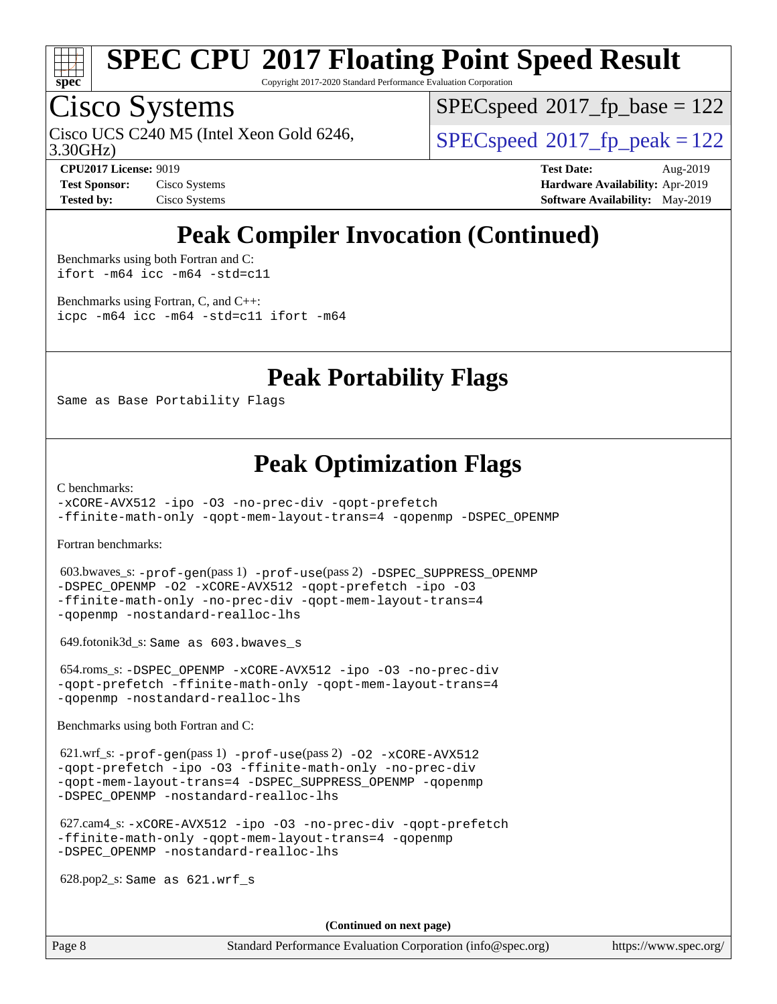

Copyright 2017-2020 Standard Performance Evaluation Corporation

## Cisco Systems

3.30GHz) Cisco UCS C240 M5 (Intel Xeon Gold 6246,  $SPEC speed@2017$  fp\_peak = 122

[SPECspeed](http://www.spec.org/auto/cpu2017/Docs/result-fields.html#SPECspeed2017fpbase)<sup>®</sup>2017 fp base = 122

**[Test Sponsor:](http://www.spec.org/auto/cpu2017/Docs/result-fields.html#TestSponsor)** Cisco Systems **[Hardware Availability:](http://www.spec.org/auto/cpu2017/Docs/result-fields.html#HardwareAvailability)** Apr-2019

**[CPU2017 License:](http://www.spec.org/auto/cpu2017/Docs/result-fields.html#CPU2017License)** 9019 **[Test Date:](http://www.spec.org/auto/cpu2017/Docs/result-fields.html#TestDate)** Aug-2019 **[Tested by:](http://www.spec.org/auto/cpu2017/Docs/result-fields.html#Testedby)** Cisco Systems **[Software Availability:](http://www.spec.org/auto/cpu2017/Docs/result-fields.html#SoftwareAvailability)** May-2019

### **[Peak Compiler Invocation \(Continued\)](http://www.spec.org/auto/cpu2017/Docs/result-fields.html#PeakCompilerInvocation)**

[Benchmarks using both Fortran and C](http://www.spec.org/auto/cpu2017/Docs/result-fields.html#BenchmarksusingbothFortranandC): [ifort -m64](http://www.spec.org/cpu2017/results/res2019q3/cpu2017-20190903-17789.flags.html#user_CC_FCpeak_intel_ifort_64bit_24f2bb282fbaeffd6157abe4f878425411749daecae9a33200eee2bee2fe76f3b89351d69a8130dd5949958ce389cf37ff59a95e7a40d588e8d3a57e0c3fd751) [icc -m64 -std=c11](http://www.spec.org/cpu2017/results/res2019q3/cpu2017-20190903-17789.flags.html#user_CC_FCpeak_intel_icc_64bit_c11_33ee0cdaae7deeeab2a9725423ba97205ce30f63b9926c2519791662299b76a0318f32ddfffdc46587804de3178b4f9328c46fa7c2b0cd779d7a61945c91cd35)

[Benchmarks using Fortran, C, and C++:](http://www.spec.org/auto/cpu2017/Docs/result-fields.html#BenchmarksusingFortranCandCXX) [icpc -m64](http://www.spec.org/cpu2017/results/res2019q3/cpu2017-20190903-17789.flags.html#user_CC_CXX_FCpeak_intel_icpc_64bit_4ecb2543ae3f1412ef961e0650ca070fec7b7afdcd6ed48761b84423119d1bf6bdf5cad15b44d48e7256388bc77273b966e5eb805aefd121eb22e9299b2ec9d9) [icc -m64 -std=c11](http://www.spec.org/cpu2017/results/res2019q3/cpu2017-20190903-17789.flags.html#user_CC_CXX_FCpeak_intel_icc_64bit_c11_33ee0cdaae7deeeab2a9725423ba97205ce30f63b9926c2519791662299b76a0318f32ddfffdc46587804de3178b4f9328c46fa7c2b0cd779d7a61945c91cd35) [ifort -m64](http://www.spec.org/cpu2017/results/res2019q3/cpu2017-20190903-17789.flags.html#user_CC_CXX_FCpeak_intel_ifort_64bit_24f2bb282fbaeffd6157abe4f878425411749daecae9a33200eee2bee2fe76f3b89351d69a8130dd5949958ce389cf37ff59a95e7a40d588e8d3a57e0c3fd751)

### **[Peak Portability Flags](http://www.spec.org/auto/cpu2017/Docs/result-fields.html#PeakPortabilityFlags)**

Same as Base Portability Flags

### **[Peak Optimization Flags](http://www.spec.org/auto/cpu2017/Docs/result-fields.html#PeakOptimizationFlags)**

[C benchmarks](http://www.spec.org/auto/cpu2017/Docs/result-fields.html#Cbenchmarks):

[-xCORE-AVX512](http://www.spec.org/cpu2017/results/res2019q3/cpu2017-20190903-17789.flags.html#user_CCpeak_f-xCORE-AVX512) [-ipo](http://www.spec.org/cpu2017/results/res2019q3/cpu2017-20190903-17789.flags.html#user_CCpeak_f-ipo) [-O3](http://www.spec.org/cpu2017/results/res2019q3/cpu2017-20190903-17789.flags.html#user_CCpeak_f-O3) [-no-prec-div](http://www.spec.org/cpu2017/results/res2019q3/cpu2017-20190903-17789.flags.html#user_CCpeak_f-no-prec-div) [-qopt-prefetch](http://www.spec.org/cpu2017/results/res2019q3/cpu2017-20190903-17789.flags.html#user_CCpeak_f-qopt-prefetch) [-ffinite-math-only](http://www.spec.org/cpu2017/results/res2019q3/cpu2017-20190903-17789.flags.html#user_CCpeak_f_finite_math_only_cb91587bd2077682c4b38af759c288ed7c732db004271a9512da14a4f8007909a5f1427ecbf1a0fb78ff2a814402c6114ac565ca162485bbcae155b5e4258871) [-qopt-mem-layout-trans=4](http://www.spec.org/cpu2017/results/res2019q3/cpu2017-20190903-17789.flags.html#user_CCpeak_f-qopt-mem-layout-trans_fa39e755916c150a61361b7846f310bcdf6f04e385ef281cadf3647acec3f0ae266d1a1d22d972a7087a248fd4e6ca390a3634700869573d231a252c784941a8) [-qopenmp](http://www.spec.org/cpu2017/results/res2019q3/cpu2017-20190903-17789.flags.html#user_CCpeak_qopenmp_16be0c44f24f464004c6784a7acb94aca937f053568ce72f94b139a11c7c168634a55f6653758ddd83bcf7b8463e8028bb0b48b77bcddc6b78d5d95bb1df2967) [-DSPEC\\_OPENMP](http://www.spec.org/cpu2017/results/res2019q3/cpu2017-20190903-17789.flags.html#suite_CCpeak_DSPEC_OPENMP)

[Fortran benchmarks](http://www.spec.org/auto/cpu2017/Docs/result-fields.html#Fortranbenchmarks):

 603.bwaves\_s: [-prof-gen](http://www.spec.org/cpu2017/results/res2019q3/cpu2017-20190903-17789.flags.html#user_peakPASS1_FFLAGSPASS1_LDFLAGS603_bwaves_s_prof_gen_5aa4926d6013ddb2a31985c654b3eb18169fc0c6952a63635c234f711e6e63dd76e94ad52365559451ec499a2cdb89e4dc58ba4c67ef54ca681ffbe1461d6b36)(pass 1) [-prof-use](http://www.spec.org/cpu2017/results/res2019q3/cpu2017-20190903-17789.flags.html#user_peakPASS2_FFLAGSPASS2_LDFLAGS603_bwaves_s_prof_use_1a21ceae95f36a2b53c25747139a6c16ca95bd9def2a207b4f0849963b97e94f5260e30a0c64f4bb623698870e679ca08317ef8150905d41bd88c6f78df73f19)(pass 2) [-DSPEC\\_SUPPRESS\\_OPENMP](http://www.spec.org/cpu2017/results/res2019q3/cpu2017-20190903-17789.flags.html#suite_peakPASS1_FOPTIMIZE603_bwaves_s_DSPEC_SUPPRESS_OPENMP) [-DSPEC\\_OPENMP](http://www.spec.org/cpu2017/results/res2019q3/cpu2017-20190903-17789.flags.html#suite_peakPASS2_FOPTIMIZE603_bwaves_s_DSPEC_OPENMP) [-O2](http://www.spec.org/cpu2017/results/res2019q3/cpu2017-20190903-17789.flags.html#user_peakPASS1_FOPTIMIZE603_bwaves_s_f-O2) [-xCORE-AVX512](http://www.spec.org/cpu2017/results/res2019q3/cpu2017-20190903-17789.flags.html#user_peakPASS2_FOPTIMIZE603_bwaves_s_f-xCORE-AVX512) [-qopt-prefetch](http://www.spec.org/cpu2017/results/res2019q3/cpu2017-20190903-17789.flags.html#user_peakPASS1_FOPTIMIZEPASS2_FOPTIMIZE603_bwaves_s_f-qopt-prefetch) [-ipo](http://www.spec.org/cpu2017/results/res2019q3/cpu2017-20190903-17789.flags.html#user_peakPASS2_FOPTIMIZE603_bwaves_s_f-ipo) [-O3](http://www.spec.org/cpu2017/results/res2019q3/cpu2017-20190903-17789.flags.html#user_peakPASS2_FOPTIMIZE603_bwaves_s_f-O3) [-ffinite-math-only](http://www.spec.org/cpu2017/results/res2019q3/cpu2017-20190903-17789.flags.html#user_peakPASS1_FOPTIMIZEPASS2_FOPTIMIZE603_bwaves_s_f_finite_math_only_cb91587bd2077682c4b38af759c288ed7c732db004271a9512da14a4f8007909a5f1427ecbf1a0fb78ff2a814402c6114ac565ca162485bbcae155b5e4258871) [-no-prec-div](http://www.spec.org/cpu2017/results/res2019q3/cpu2017-20190903-17789.flags.html#user_peakPASS2_FOPTIMIZE603_bwaves_s_f-no-prec-div) [-qopt-mem-layout-trans=4](http://www.spec.org/cpu2017/results/res2019q3/cpu2017-20190903-17789.flags.html#user_peakPASS1_FOPTIMIZEPASS2_FOPTIMIZE603_bwaves_s_f-qopt-mem-layout-trans_fa39e755916c150a61361b7846f310bcdf6f04e385ef281cadf3647acec3f0ae266d1a1d22d972a7087a248fd4e6ca390a3634700869573d231a252c784941a8) [-qopenmp](http://www.spec.org/cpu2017/results/res2019q3/cpu2017-20190903-17789.flags.html#user_peakPASS2_FOPTIMIZE603_bwaves_s_qopenmp_16be0c44f24f464004c6784a7acb94aca937f053568ce72f94b139a11c7c168634a55f6653758ddd83bcf7b8463e8028bb0b48b77bcddc6b78d5d95bb1df2967) [-nostandard-realloc-lhs](http://www.spec.org/cpu2017/results/res2019q3/cpu2017-20190903-17789.flags.html#user_peakEXTRA_FOPTIMIZE603_bwaves_s_f_2003_std_realloc_82b4557e90729c0f113870c07e44d33d6f5a304b4f63d4c15d2d0f1fab99f5daaed73bdb9275d9ae411527f28b936061aa8b9c8f2d63842963b95c9dd6426b8a)

649.fotonik3d\_s: Same as 603.bwaves\_s

 654.roms\_s: [-DSPEC\\_OPENMP](http://www.spec.org/cpu2017/results/res2019q3/cpu2017-20190903-17789.flags.html#suite_peakFOPTIMIZE654_roms_s_DSPEC_OPENMP) [-xCORE-AVX512](http://www.spec.org/cpu2017/results/res2019q3/cpu2017-20190903-17789.flags.html#user_peakFOPTIMIZE654_roms_s_f-xCORE-AVX512) [-ipo](http://www.spec.org/cpu2017/results/res2019q3/cpu2017-20190903-17789.flags.html#user_peakFOPTIMIZE654_roms_s_f-ipo) [-O3](http://www.spec.org/cpu2017/results/res2019q3/cpu2017-20190903-17789.flags.html#user_peakFOPTIMIZE654_roms_s_f-O3) [-no-prec-div](http://www.spec.org/cpu2017/results/res2019q3/cpu2017-20190903-17789.flags.html#user_peakFOPTIMIZE654_roms_s_f-no-prec-div) [-qopt-prefetch](http://www.spec.org/cpu2017/results/res2019q3/cpu2017-20190903-17789.flags.html#user_peakFOPTIMIZE654_roms_s_f-qopt-prefetch) [-ffinite-math-only](http://www.spec.org/cpu2017/results/res2019q3/cpu2017-20190903-17789.flags.html#user_peakFOPTIMIZE654_roms_s_f_finite_math_only_cb91587bd2077682c4b38af759c288ed7c732db004271a9512da14a4f8007909a5f1427ecbf1a0fb78ff2a814402c6114ac565ca162485bbcae155b5e4258871) [-qopt-mem-layout-trans=4](http://www.spec.org/cpu2017/results/res2019q3/cpu2017-20190903-17789.flags.html#user_peakFOPTIMIZE654_roms_s_f-qopt-mem-layout-trans_fa39e755916c150a61361b7846f310bcdf6f04e385ef281cadf3647acec3f0ae266d1a1d22d972a7087a248fd4e6ca390a3634700869573d231a252c784941a8) [-qopenmp](http://www.spec.org/cpu2017/results/res2019q3/cpu2017-20190903-17789.flags.html#user_peakFOPTIMIZE654_roms_s_qopenmp_16be0c44f24f464004c6784a7acb94aca937f053568ce72f94b139a11c7c168634a55f6653758ddd83bcf7b8463e8028bb0b48b77bcddc6b78d5d95bb1df2967) [-nostandard-realloc-lhs](http://www.spec.org/cpu2017/results/res2019q3/cpu2017-20190903-17789.flags.html#user_peakEXTRA_FOPTIMIZE654_roms_s_f_2003_std_realloc_82b4557e90729c0f113870c07e44d33d6f5a304b4f63d4c15d2d0f1fab99f5daaed73bdb9275d9ae411527f28b936061aa8b9c8f2d63842963b95c9dd6426b8a)

[Benchmarks using both Fortran and C](http://www.spec.org/auto/cpu2017/Docs/result-fields.html#BenchmarksusingbothFortranandC):

 621.wrf\_s: [-prof-gen](http://www.spec.org/cpu2017/results/res2019q3/cpu2017-20190903-17789.flags.html#user_peakPASS1_CFLAGSPASS1_FFLAGSPASS1_LDFLAGS621_wrf_s_prof_gen_5aa4926d6013ddb2a31985c654b3eb18169fc0c6952a63635c234f711e6e63dd76e94ad52365559451ec499a2cdb89e4dc58ba4c67ef54ca681ffbe1461d6b36)(pass 1) [-prof-use](http://www.spec.org/cpu2017/results/res2019q3/cpu2017-20190903-17789.flags.html#user_peakPASS2_CFLAGSPASS2_FFLAGSPASS2_LDFLAGS621_wrf_s_prof_use_1a21ceae95f36a2b53c25747139a6c16ca95bd9def2a207b4f0849963b97e94f5260e30a0c64f4bb623698870e679ca08317ef8150905d41bd88c6f78df73f19)(pass 2) [-O2](http://www.spec.org/cpu2017/results/res2019q3/cpu2017-20190903-17789.flags.html#user_peakPASS1_COPTIMIZEPASS1_FOPTIMIZE621_wrf_s_f-O2) [-xCORE-AVX512](http://www.spec.org/cpu2017/results/res2019q3/cpu2017-20190903-17789.flags.html#user_peakPASS2_COPTIMIZEPASS2_FOPTIMIZE621_wrf_s_f-xCORE-AVX512) [-qopt-prefetch](http://www.spec.org/cpu2017/results/res2019q3/cpu2017-20190903-17789.flags.html#user_peakPASS1_COPTIMIZEPASS1_FOPTIMIZEPASS2_COPTIMIZEPASS2_FOPTIMIZE621_wrf_s_f-qopt-prefetch) [-ipo](http://www.spec.org/cpu2017/results/res2019q3/cpu2017-20190903-17789.flags.html#user_peakPASS2_COPTIMIZEPASS2_FOPTIMIZE621_wrf_s_f-ipo) [-O3](http://www.spec.org/cpu2017/results/res2019q3/cpu2017-20190903-17789.flags.html#user_peakPASS2_COPTIMIZEPASS2_FOPTIMIZE621_wrf_s_f-O3) [-ffinite-math-only](http://www.spec.org/cpu2017/results/res2019q3/cpu2017-20190903-17789.flags.html#user_peakPASS1_COPTIMIZEPASS1_FOPTIMIZEPASS2_COPTIMIZEPASS2_FOPTIMIZE621_wrf_s_f_finite_math_only_cb91587bd2077682c4b38af759c288ed7c732db004271a9512da14a4f8007909a5f1427ecbf1a0fb78ff2a814402c6114ac565ca162485bbcae155b5e4258871) [-no-prec-div](http://www.spec.org/cpu2017/results/res2019q3/cpu2017-20190903-17789.flags.html#user_peakPASS2_COPTIMIZEPASS2_FOPTIMIZE621_wrf_s_f-no-prec-div) [-qopt-mem-layout-trans=4](http://www.spec.org/cpu2017/results/res2019q3/cpu2017-20190903-17789.flags.html#user_peakPASS1_COPTIMIZEPASS1_FOPTIMIZEPASS2_COPTIMIZEPASS2_FOPTIMIZE621_wrf_s_f-qopt-mem-layout-trans_fa39e755916c150a61361b7846f310bcdf6f04e385ef281cadf3647acec3f0ae266d1a1d22d972a7087a248fd4e6ca390a3634700869573d231a252c784941a8) [-DSPEC\\_SUPPRESS\\_OPENMP](http://www.spec.org/cpu2017/results/res2019q3/cpu2017-20190903-17789.flags.html#suite_peakPASS1_COPTIMIZEPASS1_FOPTIMIZE621_wrf_s_DSPEC_SUPPRESS_OPENMP) [-qopenmp](http://www.spec.org/cpu2017/results/res2019q3/cpu2017-20190903-17789.flags.html#user_peakPASS2_COPTIMIZEPASS2_FOPTIMIZE621_wrf_s_qopenmp_16be0c44f24f464004c6784a7acb94aca937f053568ce72f94b139a11c7c168634a55f6653758ddd83bcf7b8463e8028bb0b48b77bcddc6b78d5d95bb1df2967) [-DSPEC\\_OPENMP](http://www.spec.org/cpu2017/results/res2019q3/cpu2017-20190903-17789.flags.html#suite_peakPASS2_COPTIMIZEPASS2_FOPTIMIZE621_wrf_s_DSPEC_OPENMP) [-nostandard-realloc-lhs](http://www.spec.org/cpu2017/results/res2019q3/cpu2017-20190903-17789.flags.html#user_peakEXTRA_FOPTIMIZE621_wrf_s_f_2003_std_realloc_82b4557e90729c0f113870c07e44d33d6f5a304b4f63d4c15d2d0f1fab99f5daaed73bdb9275d9ae411527f28b936061aa8b9c8f2d63842963b95c9dd6426b8a)

 627.cam4\_s: [-xCORE-AVX512](http://www.spec.org/cpu2017/results/res2019q3/cpu2017-20190903-17789.flags.html#user_peakCOPTIMIZEFOPTIMIZE627_cam4_s_f-xCORE-AVX512) [-ipo](http://www.spec.org/cpu2017/results/res2019q3/cpu2017-20190903-17789.flags.html#user_peakCOPTIMIZEFOPTIMIZE627_cam4_s_f-ipo) [-O3](http://www.spec.org/cpu2017/results/res2019q3/cpu2017-20190903-17789.flags.html#user_peakCOPTIMIZEFOPTIMIZE627_cam4_s_f-O3) [-no-prec-div](http://www.spec.org/cpu2017/results/res2019q3/cpu2017-20190903-17789.flags.html#user_peakCOPTIMIZEFOPTIMIZE627_cam4_s_f-no-prec-div) [-qopt-prefetch](http://www.spec.org/cpu2017/results/res2019q3/cpu2017-20190903-17789.flags.html#user_peakCOPTIMIZEFOPTIMIZE627_cam4_s_f-qopt-prefetch) [-ffinite-math-only](http://www.spec.org/cpu2017/results/res2019q3/cpu2017-20190903-17789.flags.html#user_peakCOPTIMIZEFOPTIMIZE627_cam4_s_f_finite_math_only_cb91587bd2077682c4b38af759c288ed7c732db004271a9512da14a4f8007909a5f1427ecbf1a0fb78ff2a814402c6114ac565ca162485bbcae155b5e4258871) [-qopt-mem-layout-trans=4](http://www.spec.org/cpu2017/results/res2019q3/cpu2017-20190903-17789.flags.html#user_peakCOPTIMIZEFOPTIMIZE627_cam4_s_f-qopt-mem-layout-trans_fa39e755916c150a61361b7846f310bcdf6f04e385ef281cadf3647acec3f0ae266d1a1d22d972a7087a248fd4e6ca390a3634700869573d231a252c784941a8) [-qopenmp](http://www.spec.org/cpu2017/results/res2019q3/cpu2017-20190903-17789.flags.html#user_peakCOPTIMIZEFOPTIMIZE627_cam4_s_qopenmp_16be0c44f24f464004c6784a7acb94aca937f053568ce72f94b139a11c7c168634a55f6653758ddd83bcf7b8463e8028bb0b48b77bcddc6b78d5d95bb1df2967) [-DSPEC\\_OPENMP](http://www.spec.org/cpu2017/results/res2019q3/cpu2017-20190903-17789.flags.html#suite_peakCOPTIMIZEFOPTIMIZE627_cam4_s_DSPEC_OPENMP) [-nostandard-realloc-lhs](http://www.spec.org/cpu2017/results/res2019q3/cpu2017-20190903-17789.flags.html#user_peakEXTRA_FOPTIMIZE627_cam4_s_f_2003_std_realloc_82b4557e90729c0f113870c07e44d33d6f5a304b4f63d4c15d2d0f1fab99f5daaed73bdb9275d9ae411527f28b936061aa8b9c8f2d63842963b95c9dd6426b8a)

628.pop2\_s: Same as 621.wrf\_s

**(Continued on next page)**